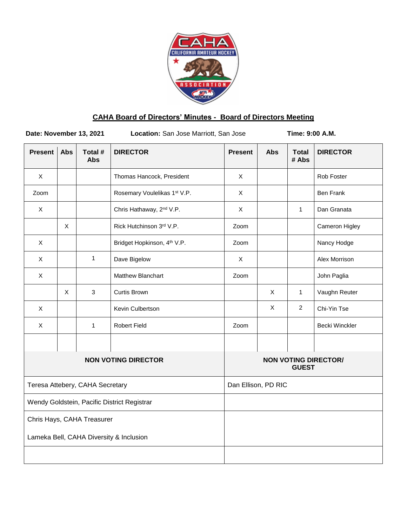

# **CAHA Board of Directors' Minutes - Board of Directors Meeting**

**Date: November 13, 2021 Location:** San Jose Marriott, San Jose **Time: 9:00 A.M.** 

| <b>Present</b>                              | <b>Abs</b> | Total #<br><b>Abs</b> | <b>DIRECTOR</b>                         | <b>Present</b>                              | Abs | <b>Total</b><br># Abs | <b>DIRECTOR</b>       |
|---------------------------------------------|------------|-----------------------|-----------------------------------------|---------------------------------------------|-----|-----------------------|-----------------------|
| $\pmb{\times}$                              |            |                       | Thomas Hancock, President               | X                                           |     |                       | Rob Foster            |
| Zoom                                        |            |                       | Rosemary Voulelikas 1st V.P.            | X                                           |     |                       | <b>Ben Frank</b>      |
| X                                           |            |                       | Chris Hathaway, 2 <sup>nd</sup> V.P.    | X                                           |     | $\mathbf{1}$          | Dan Granata           |
|                                             | X          |                       | Rick Hutchinson 3rd V.P.                | Zoom                                        |     |                       | Cameron Higley        |
| $\pmb{\times}$                              |            |                       | Bridget Hopkinson, 4 <sup>th</sup> V.P. | Zoom                                        |     |                       | Nancy Hodge           |
| $\pmb{\times}$                              |            | $\mathbf{1}$          | Dave Bigelow                            | $\mathsf X$                                 |     |                       | Alex Morrison         |
| $\mathsf X$                                 |            |                       | Matthew Blanchart                       | Zoom                                        |     |                       | John Paglia           |
|                                             | X          | $\mathbf{3}$          | <b>Curtis Brown</b>                     |                                             | X   | $\mathbf{1}$          | Vaughn Reuter         |
| X                                           |            |                       | Kevin Culbertson                        |                                             | X   | $\overline{2}$        | Chi-Yin Tse           |
| $\pmb{\times}$                              |            | $\mathbf{1}$          | <b>Robert Field</b>                     | Zoom                                        |     |                       | <b>Becki Winckler</b> |
|                                             |            |                       |                                         |                                             |     |                       |                       |
| <b>NON VOTING DIRECTOR</b>                  |            |                       |                                         | <b>NON VOTING DIRECTOR/</b><br><b>GUEST</b> |     |                       |                       |
| Teresa Attebery, CAHA Secretary             |            |                       |                                         | Dan Ellison, PD RIC                         |     |                       |                       |
| Wendy Goldstein, Pacific District Registrar |            |                       |                                         |                                             |     |                       |                       |
| Chris Hays, CAHA Treasurer                  |            |                       |                                         |                                             |     |                       |                       |
| Lameka Bell, CAHA Diversity & Inclusion     |            |                       |                                         |                                             |     |                       |                       |
|                                             |            |                       |                                         |                                             |     |                       |                       |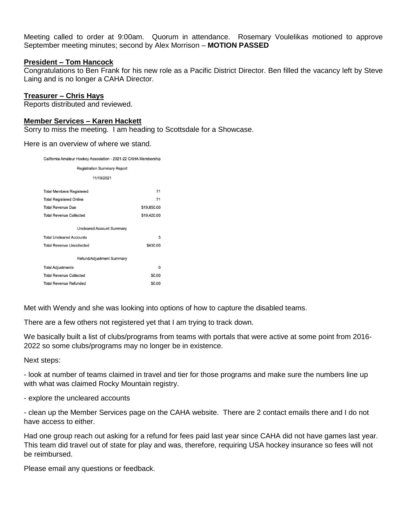Meeting called to order at 9:00am. Quorum in attendance. Rosemary Voulelikas motioned to approve September meeting minutes; second by Alex Morrison – **MOTION PASSED**

## **President – Tom Hancock**

Congratulations to Ben Frank for his new role as a Pacific District Director. Ben filled the vacancy left by Steve Laing and is no longer a CAHA Director.

## **Treasurer – Chris Hays**

Reports distributed and reviewed.

# **Member Services – Karen Hackett**

Sorry to miss the meeting. I am heading to Scottsdale for a Showcase.

Here is an overview of where we stand.

| California Amateur Hockey Association - 2021-22 CAHA Membership |             |  |  |  |  |  |  |  |
|-----------------------------------------------------------------|-------------|--|--|--|--|--|--|--|
| <b>Registration Summary Report</b>                              |             |  |  |  |  |  |  |  |
| 11/10/2021                                                      |             |  |  |  |  |  |  |  |
| <b>Total Members Registered</b>                                 | 71          |  |  |  |  |  |  |  |
| <b>Total Registered Online</b>                                  | 71          |  |  |  |  |  |  |  |
| <b>Total Revenue Due</b>                                        | \$19,850.00 |  |  |  |  |  |  |  |
| <b>Total Revenue Collected</b>                                  | \$19,420.00 |  |  |  |  |  |  |  |
| <b>Uncleared Account Summary</b>                                |             |  |  |  |  |  |  |  |
| <b>Total Uncleared Accounts</b>                                 | 3           |  |  |  |  |  |  |  |
| <b>Total Revenue Uncollected</b>                                | \$430.00    |  |  |  |  |  |  |  |
| Refund/Adjustment Summary                                       |             |  |  |  |  |  |  |  |
| <b>Total Adjustments</b>                                        | $\Omega$    |  |  |  |  |  |  |  |
| <b>Total Revenue Collected</b>                                  | \$0.00      |  |  |  |  |  |  |  |
| <b>Total Revenue Refunded</b>                                   | \$0.00      |  |  |  |  |  |  |  |
|                                                                 |             |  |  |  |  |  |  |  |

Met with Wendy and she was looking into options of how to capture the disabled teams.

There are a few others not registered yet that I am trying to track down.

We basically built a list of clubs/programs from teams with portals that were active at some point from 2016- 2022 so some clubs/programs may no longer be in existence.

Next steps:

- look at number of teams claimed in travel and tier for those programs and make sure the numbers line up with what was claimed Rocky Mountain registry.

- explore the uncleared accounts

- clean up the Member Services page on the CAHA website. There are 2 contact emails there and I do not have access to either.

Had one group reach out asking for a refund for fees paid last year since CAHA did not have games last year. This team did travel out of state for play and was, therefore, requiring USA hockey insurance so fees will not be reimbursed.

Please email any questions or feedback.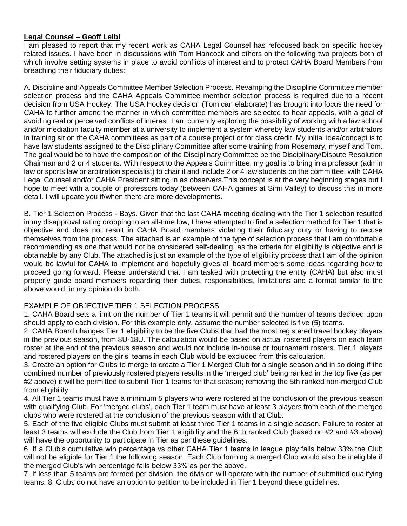# **Legal Counsel – Geoff Leibl**

I am pleased to report that my recent work as CAHA Legal Counsel has refocused back on specific hockey related issues. I have been in discussions with Tom Hancock and others on the following two projects both of which involve setting systems in place to avoid conflicts of interest and to protect CAHA Board Members from breaching their fiduciary duties:

A. Discipline and Appeals Committee Member Selection Process. Revamping the Discipline Committee member selection process and the CAHA Appeals Committee member selection process is required due to a recent decision from USA Hockey. The USA Hockey decision (Tom can elaborate) has brought into focus the need for CAHA to further amend the manner in which committee members are selected to hear appeals, with a goal of avoiding real or perceived conflicts of interest. I am currently exploring the possibility of working with a law school and/or mediation faculty member at a university to implement a system whereby law students and/or arbitrators in training sit on the CAHA committees as part of a course project or for class credit. My initial idea/concept is to have law students assigned to the Disciplinary Committee after some training from Rosemary, myself and Tom. The goal would be to have the composition of the Disciplinary Committee be the Disciplinary/Dispute Resolution Chairman and 2 or 4 students. With respect to the Appeals Committee, my goal is to bring in a professor (admin law or sports law or arbitration specialist) to chair it and include 2 or 4 law students on the committee, with CAHA Legal Counsel and/or CAHA President sitting in as observers.This concept is at the very beginning stages but I hope to meet with a couple of professors today (between CAHA games at Simi Valley) to discuss this in more detail. I will update you if/when there are more developments.

B. Tier 1 Selection Process - Boys. Given that the last CAHA meeting dealing with the Tier 1 selection resulted in my disapproval rating dropping to an all-time low, I have attempted to find a selection method for Tier 1 that is objective and does not result in CAHA Board members violating their fiduciary duty or having to recuse themselves from the process. The attached is an example of the type of selection process that I am comfortable recommending as one that would not be considered self-dealing, as the criteria for eligibility is objective and is obtainable by any Club. The attached is just an example of the type of eligibility process that I am of the opinion would be lawful for CAHA to implement and hopefully gives all board members some ideas regarding how to proceed going forward. Please understand that I am tasked with protecting the entity (CAHA) but also must properly guide board members regarding their duties, responsibilities, limitations and a format similar to the above would, in my opinion do both.

# EXAMPLE OF OBJECTIVE TIER 1 SELECTION PROCESS

1. CAHA Board sets a limit on the number of Tier 1 teams it will permit and the number of teams decided upon should apply to each division. For this example only, assume the number selected is five (5) teams.

2. CAHA Board changes Tier 1 eligibility to be the five Clubs that had the most registered travel hockey players in the previous season, from 8U-18U. The calculation would be based on actual rostered players on each team roster at the end of the previous season and would not include in-house or tournament rosters. Tier 1 players and rostered players on the girls' teams in each Club would be excluded from this calculation.

3. Create an option for Clubs to merge to create a Tier 1 Merged Club for a single season and in so doing if the combined number of previously rostered players results in the 'merged club' being ranked in the top five (as per #2 above) it will be permitted to submit Tier 1 teams for that season; removing the 5th ranked non-merged Club from eligibility.

4. All Tier 1 teams must have a minimum 5 players who were rostered at the conclusion of the previous season with qualifying Club. For 'merged clubs', each Tier 1 team must have at least 3 players from each of the merged clubs who were rostered at the conclusion of the previous season with that Club.

5. Each of the five eligible Clubs must submit at least three Tier 1 teams in a single season. Failure to roster at least 3 teams will exclude the Club from Tier 1 eligibility and the 6 th ranked Club (based on #2 and #3 above) will have the opportunity to participate in Tier as per these guidelines.

6. If a Club's cumulative win percentage vs other CAHA Tier 1 teams in league play falls below 33% the Club will not be eligible for Tier 1 the following season. Each Club forming a merged Club would also be ineligible if the merged Club's win percentage falls below 33% as per the above.

7. If less than 5 teams are formed per division, the division will operate with the number of submitted qualifying teams. 8. Clubs do not have an option to petition to be included in Tier 1 beyond these guidelines.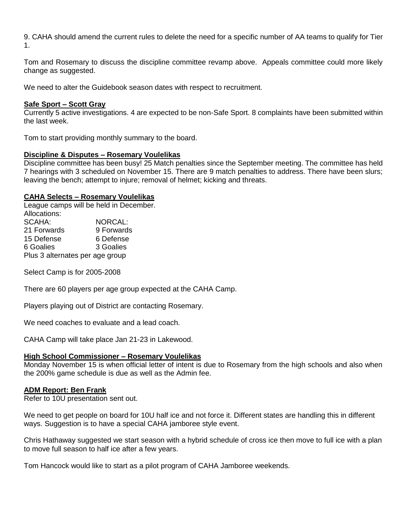9. CAHA should amend the current rules to delete the need for a specific number of AA teams to qualify for Tier 1.

Tom and Rosemary to discuss the discipline committee revamp above. Appeals committee could more likely change as suggested.

We need to alter the Guidebook season dates with respect to recruitment.

## **Safe Sport – Scott Gray**

Currently 5 active investigations. 4 are expected to be non-Safe Sport. 8 complaints have been submitted within the last week.

Tom to start providing monthly summary to the board.

#### **Discipline & Disputes – Rosemary Voulelikas**

Discipline committee has been busy! 25 Match penalties since the September meeting. The committee has held 7 hearings with 3 scheduled on November 15. There are 9 match penalties to address. There have been slurs; leaving the bench; attempt to injure; removal of helmet; kicking and threats.

#### **CAHA Selects – Rosemary Voulelikas**

League camps will be held in December. Allocations: SCAHA: NORCAL: 21 Forwards 9 Forwards 15 Defense 6 Defense 6 Goalies 3 Goalies Plus 3 alternates per age group

Select Camp is for 2005-2008

There are 60 players per age group expected at the CAHA Camp.

Players playing out of District are contacting Rosemary.

We need coaches to evaluate and a lead coach.

CAHA Camp will take place Jan 21-23 in Lakewood.

## **High School Commissioner – Rosemary Voulelikas**

Monday November 15 is when official letter of intent is due to Rosemary from the high schools and also when the 200% game schedule is due as well as the Admin fee.

#### **ADM Report: Ben Frank**

Refer to 10U presentation sent out.

We need to get people on board for 10U half ice and not force it. Different states are handling this in different ways. Suggestion is to have a special CAHA jamboree style event.

Chris Hathaway suggested we start season with a hybrid schedule of cross ice then move to full ice with a plan to move full season to half ice after a few years.

Tom Hancock would like to start as a pilot program of CAHA Jamboree weekends.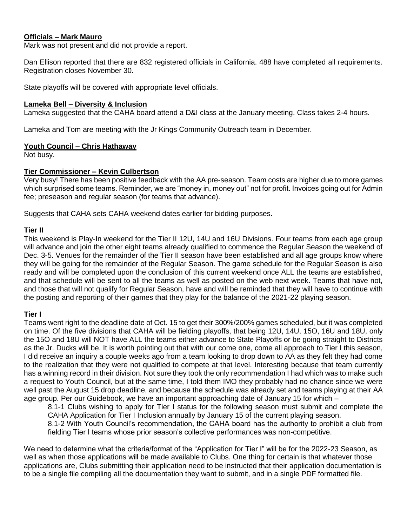# **Officials – Mark Mauro**

Mark was not present and did not provide a report.

Dan Ellison reported that there are 832 registered officials in California. 488 have completed all requirements. Registration closes November 30.

State playoffs will be covered with appropriate level officials.

## **Lameka Bell – Diversity & Inclusion**

Lameka suggested that the CAHA board attend a D&I class at the January meeting. Class takes 2-4 hours.

Lameka and Tom are meeting with the Jr Kings Community Outreach team in December.

## **Youth Council – Chris Hathaway**

Not busy.

# **Tier Commissioner – Kevin Culbertson**

Very busy! There has been positive feedback with the AA pre-season. Team costs are higher due to more games which surprised some teams. Reminder, we are "money in, money out" not for profit. Invoices going out for Admin fee; preseason and regular season (for teams that advance).

Suggests that CAHA sets CAHA weekend dates earlier for bidding purposes.

# **Tier II**

This weekend is Play-In weekend for the Tier II 12U, 14U and 16U Divisions. Four teams from each age group will advance and join the other eight teams already qualified to commence the Regular Season the weekend of Dec. 3-5. Venues for the remainder of the Tier II season have been established and all age groups know where they will be going for the remainder of the Regular Season. The game schedule for the Regular Season is also ready and will be completed upon the conclusion of this current weekend once ALL the teams are established, and that schedule will be sent to all the teams as well as posted on the web next week. Teams that have not, and those that will not qualify for Regular Season, have and will be reminded that they will have to continue with the posting and reporting of their games that they play for the balance of the 2021-22 playing season.

# **Tier I**

Teams went right to the deadline date of Oct. 15 to get their 300%/200% games scheduled, but it was completed on time. Of the five divisions that CAHA will be fielding playoffs, that being 12U, 14U, 15O, 16U and 18U, only the 15O and 18U will NOT have ALL the teams either advance to State Playoffs or be going straight to Districts as the Jr. Ducks will be. It is worth pointing out that with our come one, come all approach to Tier I this season, I did receive an inquiry a couple weeks ago from a team looking to drop down to AA as they felt they had come to the realization that they were not qualified to compete at that level. Interesting because that team currently has a winning record in their division. Not sure they took the only recommendation I had which was to make such a request to Youth Council, but at the same time, I told them IMO they probably had no chance since we were well past the August 15 drop deadline, and because the schedule was already set and teams playing at their AA age group. Per our Guidebook, we have an important approaching date of January 15 for which –

8.1-1 Clubs wishing to apply for Tier I status for the following season must submit and complete the CAHA Application for Tier I Inclusion annually by January 15 of the current playing season. 8.1-2 With Youth Council's recommendation, the CAHA board has the authority to prohibit a club from fielding Tier I teams whose prior season's collective performances was non-competitive.

We need to determine what the criteria/format of the "Application for Tier I" will be for the 2022-23 Season, as well as when those applications will be made available to Clubs. One thing for certain is that whatever those applications are, Clubs submitting their application need to be instructed that their application documentation is to be a single file compiling all the documentation they want to submit, and in a single PDF formatted file.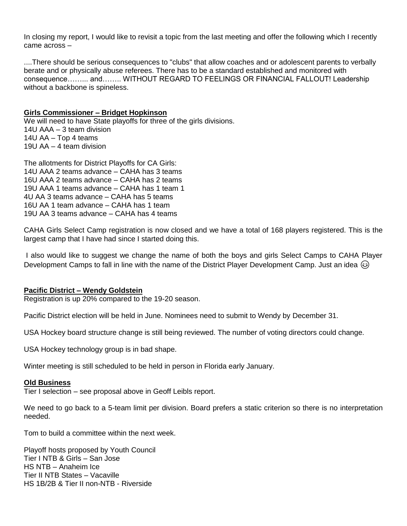In closing my report, I would like to revisit a topic from the last meeting and offer the following which I recently came across –

....There should be serious consequences to "clubs" that allow coaches and or adolescent parents to verbally berate and or physically abuse referees. There has to be a standard established and monitored with consequence……... and…….. WITHOUT REGARD TO FEELINGS OR FINANCIAL FALLOUT! Leadership without a backbone is spineless.

# **Girls Commissioner – Bridget Hopkinson**

We will need to have State playoffs for three of the girls divisions. 14U AAA – 3 team division 14U AA – Top 4 teams 19U AA – 4 team division

The allotments for District Playoffs for CA Girls: 14U AAA 2 teams advance – CAHA has 3 teams 16U AAA 2 teams advance – CAHA has 2 teams 19U AAA 1 teams advance – CAHA has 1 team 1 4U AA 3 teams advance – CAHA has 5 teams 16U AA 1 team advance – CAHA has 1 team 19U AA 3 teams advance – CAHA has 4 teams

CAHA Girls Select Camp registration is now closed and we have a total of 168 players registered. This is the largest camp that I have had since I started doing this.

I also would like to suggest we change the name of both the boys and girls Select Camps to CAHA Player Development Camps to fall in line with the name of the District Player Development Camp. Just an idea  $\circledcirc$ 

## **Pacific District – Wendy Goldstein**

Registration is up 20% compared to the 19-20 season.

Pacific District election will be held in June. Nominees need to submit to Wendy by December 31.

USA Hockey board structure change is still being reviewed. The number of voting directors could change.

USA Hockey technology group is in bad shape.

Winter meeting is still scheduled to be held in person in Florida early January.

## **Old Business**

Tier I selection – see proposal above in Geoff Leibls report.

We need to go back to a 5-team limit per division. Board prefers a static criterion so there is no interpretation needed.

Tom to build a committee within the next week.

Playoff hosts proposed by Youth Council Tier I NTB & Girls – San Jose HS NTB – Anaheim Ice Tier II NTB States – Vacaville HS 1B/2B & Tier II non-NTB - Riverside